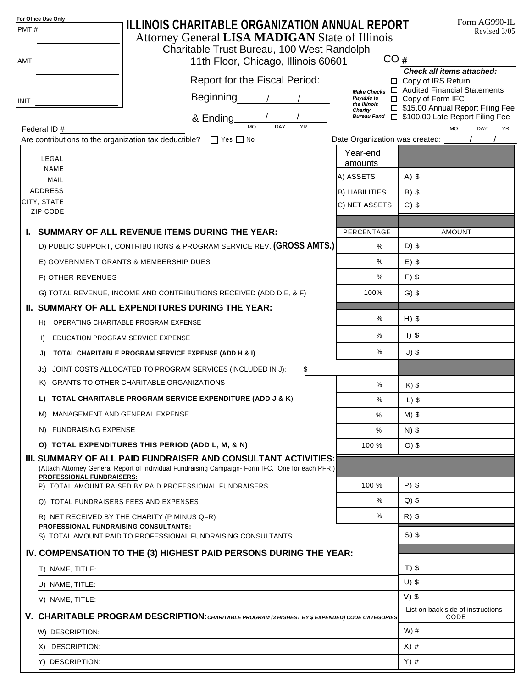| PMT#                                                                                                            | For Office Use Only<br>ILLINOIS CHARITABLE ORGANIZATION ANNUAL REPORT<br>Attorney General LISA MADIGAN State of Illinois                                                                              |                                   | Form AG990-IL<br>Revised 3/05                                           |  |  |  |  |  |  |
|-----------------------------------------------------------------------------------------------------------------|-------------------------------------------------------------------------------------------------------------------------------------------------------------------------------------------------------|-----------------------------------|-------------------------------------------------------------------------|--|--|--|--|--|--|
|                                                                                                                 | Charitable Trust Bureau, 100 West Randolph                                                                                                                                                            | CO#                               |                                                                         |  |  |  |  |  |  |
| <b>AMT</b>                                                                                                      | 11th Floor, Chicago, Illinois 60601                                                                                                                                                                   |                                   | <b>Check all items attached:</b>                                        |  |  |  |  |  |  |
|                                                                                                                 | Report for the Fiscal Period:                                                                                                                                                                         | <b>Make Checks</b>                | □ Copy of IRS Return<br>□ Audited Financial Statements                  |  |  |  |  |  |  |
| <b>INIT</b>                                                                                                     | <b>Beginning</b>                                                                                                                                                                                      | Payable to<br>the Illinois        | $\Box$ Copy of Form IFC                                                 |  |  |  |  |  |  |
|                                                                                                                 | & Ending_                                                                                                                                                                                             | Charity<br><b>Bureau Fund</b>     | □ \$15.00 Annual Report Filing Fee<br>□ \$100.00 Late Report Filing Fee |  |  |  |  |  |  |
| <b>MO</b><br>DAY<br><b>YR</b><br><b>MO</b><br>DAY<br>Federal ID#<br><b>YR</b><br>Date Organization was created: |                                                                                                                                                                                                       |                                   |                                                                         |  |  |  |  |  |  |
|                                                                                                                 | Are contributions to the organization tax deductible? $\Box$ Yes $\Box$ No                                                                                                                            | Year-end                          |                                                                         |  |  |  |  |  |  |
|                                                                                                                 | LEGAL<br><b>NAME</b>                                                                                                                                                                                  | amounts                           |                                                                         |  |  |  |  |  |  |
|                                                                                                                 | MAIL                                                                                                                                                                                                  | A) ASSETS                         | $A)$ \$                                                                 |  |  |  |  |  |  |
|                                                                                                                 | <b>ADDRESS</b>                                                                                                                                                                                        | <b>B) LIABILITIES</b>             | $B)$ \$                                                                 |  |  |  |  |  |  |
|                                                                                                                 | CITY, STATE<br>ZIP CODE                                                                                                                                                                               | C) NET ASSETS                     | $C)$ \$                                                                 |  |  |  |  |  |  |
|                                                                                                                 |                                                                                                                                                                                                       |                                   |                                                                         |  |  |  |  |  |  |
|                                                                                                                 | I. SUMMARY OF ALL REVENUE ITEMS DURING THE YEAR:                                                                                                                                                      | PERCENTAGE                        | <b>AMOUNT</b>                                                           |  |  |  |  |  |  |
|                                                                                                                 | D) PUBLIC SUPPORT, CONTRIBUTIONS & PROGRAM SERVICE REV. (GROSS AMTS.)                                                                                                                                 | %                                 | $D)$ \$                                                                 |  |  |  |  |  |  |
|                                                                                                                 | E) GOVERNMENT GRANTS & MEMBERSHIP DUES                                                                                                                                                                | %                                 | $E)$ \$                                                                 |  |  |  |  |  |  |
|                                                                                                                 | F) OTHER REVENUES                                                                                                                                                                                     | %                                 | $F)$ \$                                                                 |  |  |  |  |  |  |
|                                                                                                                 | G) TOTAL REVENUE, INCOME AND CONTRIBUTIONS RECEIVED (ADD D,E, & F)                                                                                                                                    | 100%                              | $G)$ \$                                                                 |  |  |  |  |  |  |
|                                                                                                                 | II. SUMMARY OF ALL EXPENDITURES DURING THE YEAR:                                                                                                                                                      |                                   |                                                                         |  |  |  |  |  |  |
|                                                                                                                 | OPERATING CHARITABLE PROGRAM EXPENSE<br>H)                                                                                                                                                            | %                                 | $H)$ \$                                                                 |  |  |  |  |  |  |
|                                                                                                                 | EDUCATION PROGRAM SERVICE EXPENSE<br>$\Box$                                                                                                                                                           | %                                 | $I)$ \$                                                                 |  |  |  |  |  |  |
|                                                                                                                 | TOTAL CHARITABLE PROGRAM SERVICE EXPENSE (ADD H & I)<br>J)                                                                                                                                            | %                                 | $J)$ \$                                                                 |  |  |  |  |  |  |
|                                                                                                                 | JOINT COSTS ALLOCATED TO PROGRAM SERVICES (INCLUDED IN J):<br>\$<br>J1)                                                                                                                               |                                   |                                                                         |  |  |  |  |  |  |
|                                                                                                                 | <b>GRANTS TO OTHER CHARITABLE ORGANIZATIONS</b><br>K)                                                                                                                                                 | $\%$                              | $K)$ \$                                                                 |  |  |  |  |  |  |
|                                                                                                                 | L) TOTAL CHARITABLE PROGRAM SERVICE EXPENDITURE (ADD J & K)                                                                                                                                           | $\%$                              | $L)$ \$                                                                 |  |  |  |  |  |  |
|                                                                                                                 | M) MANAGEMENT AND GENERAL EXPENSE                                                                                                                                                                     | %                                 | $M)$ \$                                                                 |  |  |  |  |  |  |
|                                                                                                                 | N) FUNDRAISING EXPENSE                                                                                                                                                                                | %                                 | $N)$ \$                                                                 |  |  |  |  |  |  |
|                                                                                                                 | O) TOTAL EXPENDITURES THIS PERIOD (ADD L, M, & N)                                                                                                                                                     | 100 %                             | $O)$ \$                                                                 |  |  |  |  |  |  |
|                                                                                                                 | III. SUMMARY OF ALL PAID FUNDRAISER AND CONSULTANT ACTIVITIES:<br>(Attach Attorney General Report of Individual Fundraising Campaign-Form IFC. One for each PFR.)<br><b>PROFESSIONAL FUNDRAISERS:</b> |                                   |                                                                         |  |  |  |  |  |  |
|                                                                                                                 | P) TOTAL AMOUNT RAISED BY PAID PROFESSIONAL FUNDRAISERS                                                                                                                                               | 100 %                             | $P)$ \$                                                                 |  |  |  |  |  |  |
|                                                                                                                 | Q) TOTAL FUNDRAISERS FEES AND EXPENSES                                                                                                                                                                | %                                 | $Q$ ) \$                                                                |  |  |  |  |  |  |
|                                                                                                                 | R) NET RECEIVED BY THE CHARITY (P MINUS Q=R)                                                                                                                                                          | $\%$                              | $R)$ \$                                                                 |  |  |  |  |  |  |
|                                                                                                                 | PROFESSIONAL FUNDRAISING CONSULTANTS:<br>S) TOTAL AMOUNT PAID TO PROFESSIONAL FUNDRAISING CONSULTANTS                                                                                                 |                                   | $S)$ \$                                                                 |  |  |  |  |  |  |
|                                                                                                                 | IV. COMPENSATION TO THE (3) HIGHEST PAID PERSONS DURING THE YEAR:                                                                                                                                     |                                   |                                                                         |  |  |  |  |  |  |
|                                                                                                                 |                                                                                                                                                                                                       | $T)$ \$                           |                                                                         |  |  |  |  |  |  |
|                                                                                                                 | T) NAME, TITLE:                                                                                                                                                                                       | $U)$ \$                           |                                                                         |  |  |  |  |  |  |
|                                                                                                                 | U) NAME, TITLE:                                                                                                                                                                                       |                                   | $V)$ \$                                                                 |  |  |  |  |  |  |
|                                                                                                                 | V) NAME, TITLE:                                                                                                                                                                                       | List on back side of instructions |                                                                         |  |  |  |  |  |  |
|                                                                                                                 | V. CHARITABLE PROGRAM DESCRIPTION: CHARITABLE PROGRAM (3 HIGHEST BY \$ EXPENDED) CODE CATEGORIES                                                                                                      |                                   | CODE                                                                    |  |  |  |  |  |  |
|                                                                                                                 | W) DESCRIPTION:                                                                                                                                                                                       |                                   | $W)$ #                                                                  |  |  |  |  |  |  |
|                                                                                                                 | X) DESCRIPTION:                                                                                                                                                                                       | $X)$ #                            |                                                                         |  |  |  |  |  |  |
|                                                                                                                 | Y) DESCRIPTION:                                                                                                                                                                                       |                                   | $Y)$ #                                                                  |  |  |  |  |  |  |